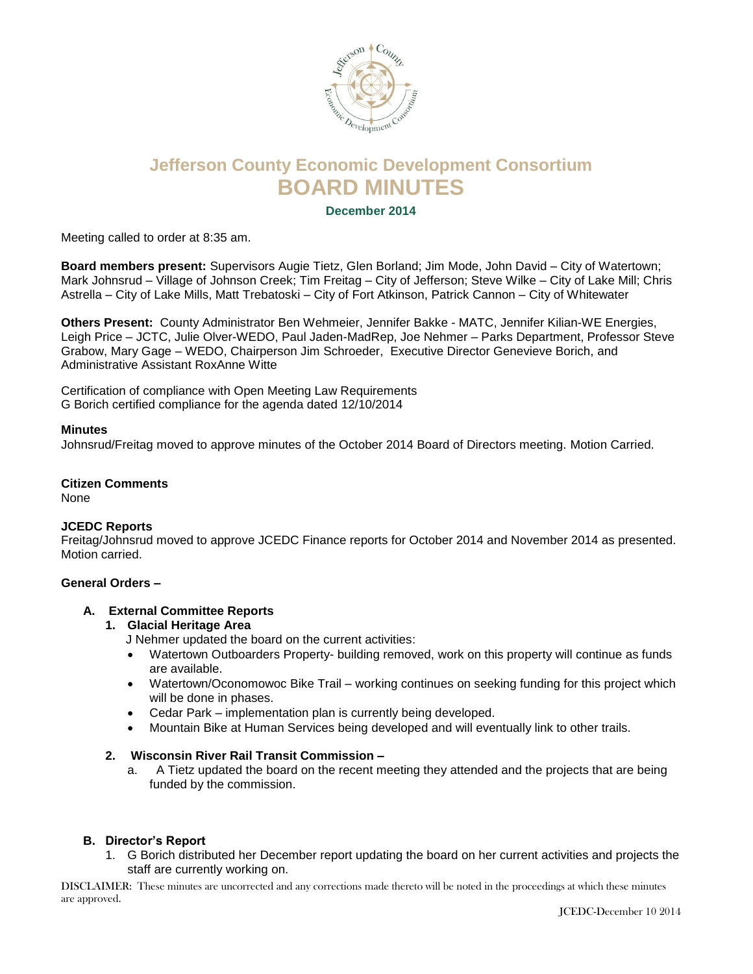

# **Jefferson County Economic Development Consortium BOARD MINUTES**

**December 2014**

Meeting called to order at 8:35 am.

**Board members present:** Supervisors Augie Tietz, Glen Borland; Jim Mode, John David – City of Watertown; Mark Johnsrud – Village of Johnson Creek; Tim Freitag – City of Jefferson; Steve Wilke – City of Lake Mill; Chris Astrella – City of Lake Mills, Matt Trebatoski – City of Fort Atkinson, Patrick Cannon – City of Whitewater

**Others Present:** County Administrator Ben Wehmeier, Jennifer Bakke - MATC, Jennifer Kilian-WE Energies, Leigh Price – JCTC, Julie Olver-WEDO, Paul Jaden-MadRep, Joe Nehmer – Parks Department, Professor Steve Grabow, Mary Gage – WEDO, Chairperson Jim Schroeder, Executive Director Genevieve Borich, and Administrative Assistant RoxAnne Witte

Certification of compliance with Open Meeting Law Requirements G Borich certified compliance for the agenda dated 12/10/2014

#### **Minutes**

Johnsrud/Freitag moved to approve minutes of the October 2014 Board of Directors meeting. Motion Carried.

### **Citizen Comments**

None

## **JCEDC Reports**

Freitag/Johnsrud moved to approve JCEDC Finance reports for October 2014 and November 2014 as presented. Motion carried.

## **General Orders –**

## **A. External Committee Reports**

## **1. Glacial Heritage Area**

J Nehmer updated the board on the current activities:

- Watertown Outboarders Property- building removed, work on this property will continue as funds are available.
- Watertown/Oconomowoc Bike Trail working continues on seeking funding for this project which will be done in phases.
- Cedar Park implementation plan is currently being developed.
- Mountain Bike at Human Services being developed and will eventually link to other trails.

#### **2. Wisconsin River Rail Transit Commission –**

a. A Tietz updated the board on the recent meeting they attended and the projects that are being funded by the commission.

#### **B. Director's Report**

1. G Borich distributed her December report updating the board on her current activities and projects the staff are currently working on.

DISCLAIMER: These minutes are uncorrected and any corrections made thereto will be noted in the proceedings at which these minutes are approved.